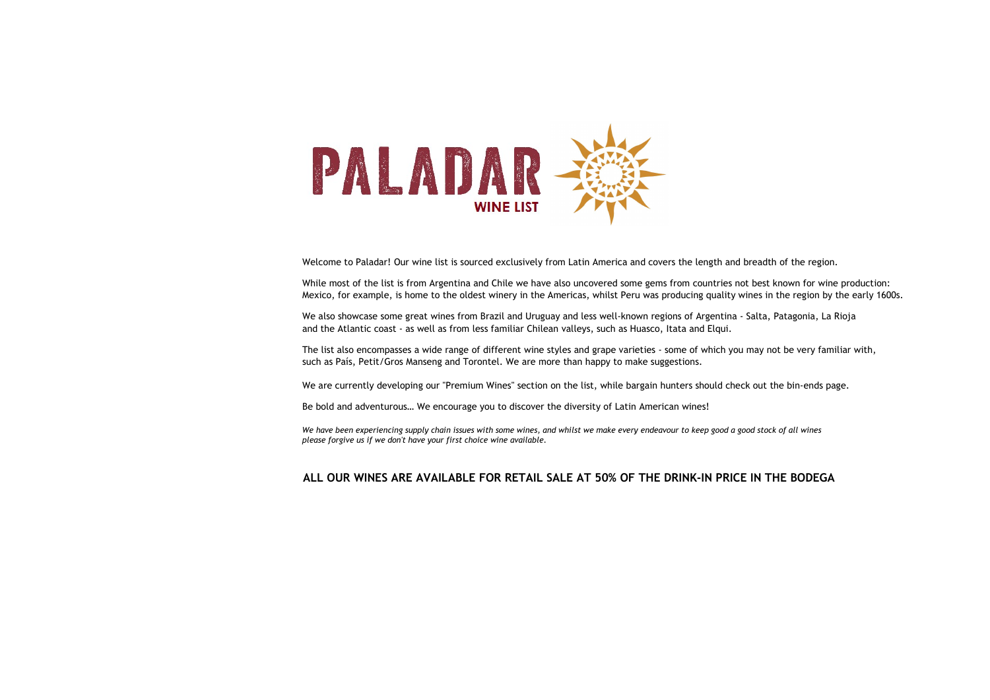

Welcome to Paladar! Our wine list is sourced exclusively from Latin America and covers the length and breadth of the region.

While most of the list is from Argentina and Chile we have also uncovered some gems from countries not best known for wine production: Mexico, for example, is home to the oldest winery in the Americas, whilst Peru was producing quality wines in the region by the early 1600s.

We also showcase some great wines from Brazil and Uruguay and less well-known regions of Argentina - Salta, Patagonia, La Rioja and the Atlantic coast - as well as from less familiar Chilean valleys, such as Huasco, Itata and Elqui.

The list also encompasses a wide range of different wine styles and grape varieties - some of which you may not be very familiar with, such as País, Petit/Gros Manseng and Torontel. We are more than happy to make suggestions.

We are currently developing our "Premium Wines" section on the list, while bargain hunters should check out the bin-ends page.

Be bold and adventurous… We encourage you to discover the diversity of Latin American wines!

We have been experiencing supply chain issues with some wines, and whilst we make every endeavour to keep good a good stock of all wines please forgive us if we don't have your first choice wine available.

#### ALL OUR WINES ARE AVAILABLE FOR RETAIL SALE AT 50% OF THE DRINK-IN PRICE IN THE BODEGA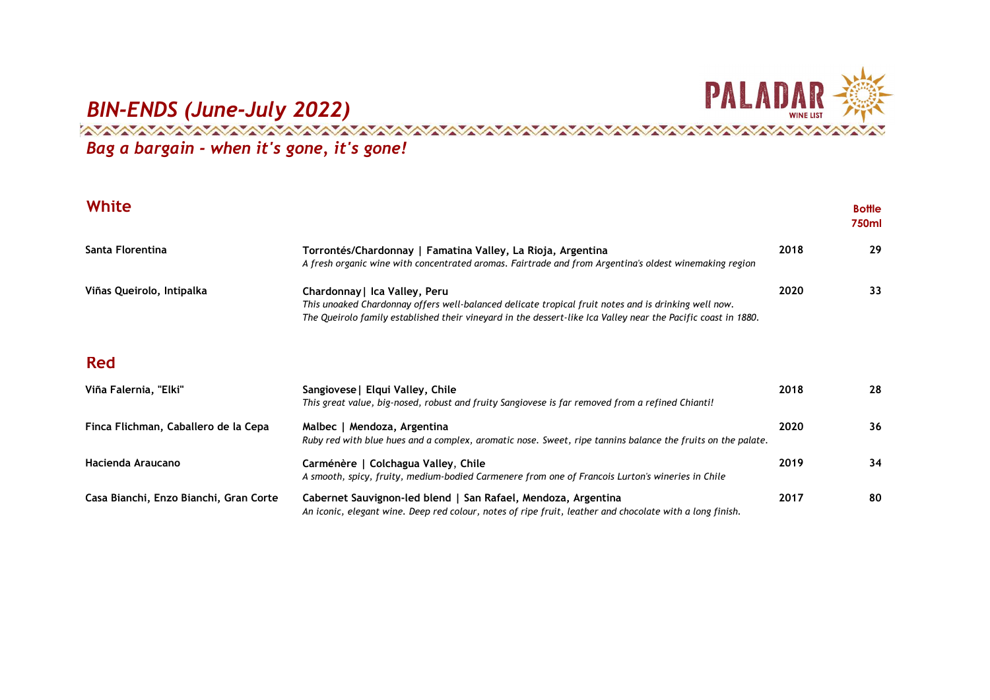

## EXAMPLE AND SAN ARREVENUS (June-July 2022)<br>A MARA MARRIA AND AND ANNELLS AND ARREVENUS AND ARREVENUS AND ARREVENUS AND ARREVENUS AND ARREVENUS AND ARREVEN

Bag a bargain - when it's gone, it's gone!

| White                                  |                                                                                                                                                                                                                                                        |      | <b>Bottle</b><br>750ml |
|----------------------------------------|--------------------------------------------------------------------------------------------------------------------------------------------------------------------------------------------------------------------------------------------------------|------|------------------------|
| Santa Florentina                       | Torrontés/Chardonnay   Famatina Valley, La Rioja, Argentina<br>A fresh organic wine with concentrated aromas. Fairtrade and from Argentina's oldest winemaking region                                                                                  | 2018 | 29                     |
| Viñas Queirolo, Intipalka              | Chardonnay   Ica Valley, Peru<br>This unoaked Chardonnay offers well-balanced delicate tropical fruit notes and is drinking well now.<br>The Queirolo family established their vineyard in the dessert-like Ica Valley near the Pacific coast in 1880. | 2020 | 33                     |
| <b>Red</b>                             |                                                                                                                                                                                                                                                        |      |                        |
| Viña Falernia, "Elki"                  | Sangiovese   Elqui Valley, Chile<br>This great value, big-nosed, robust and fruity Sangiovese is far removed from a refined Chianti!                                                                                                                   | 2018 | 28                     |
| Finca Flichman, Caballero de la Cepa   | Malbec   Mendoza, Argentina<br>Ruby red with blue hues and a complex, aromatic nose. Sweet, ripe tannins balance the fruits on the palate.                                                                                                             | 2020 | 36                     |
| Hacienda Araucano                      | Carménère   Colchagua Valley, Chile<br>A smooth, spicy, fruity, medium-bodied Carmenere from one of Francois Lurton's wineries in Chile                                                                                                                | 2019 | 34                     |
| Casa Bianchi, Enzo Bianchi, Gran Corte | Cabernet Sauvignon-led blend   San Rafael, Mendoza, Argentina<br>An iconic, elegant wine. Deep red colour, notes of ripe fruit, leather and chocolate with a long finish.                                                                              | 2017 | 80                     |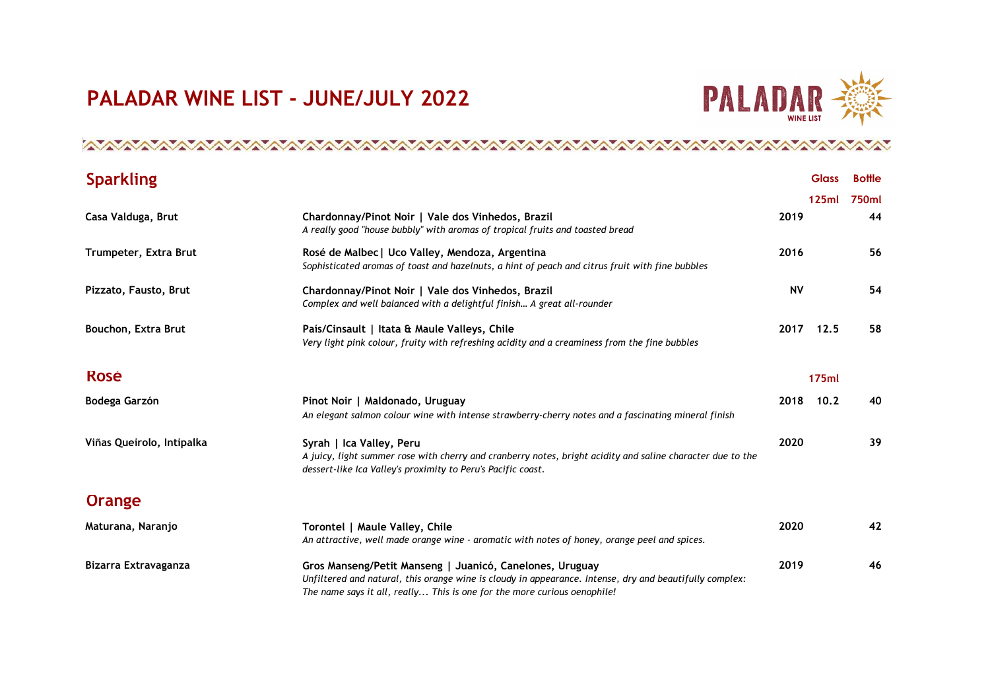## PALADAR WINE LIST - JUNE/JULY 2022



#### 

| <b>Sparkling</b>          |                                                                                                                                                                                                                                                 |           | <b>Glass</b> | <b>Bottle</b> |
|---------------------------|-------------------------------------------------------------------------------------------------------------------------------------------------------------------------------------------------------------------------------------------------|-----------|--------------|---------------|
|                           |                                                                                                                                                                                                                                                 |           | 125ml        | 750ml         |
| Casa Valduga, Brut        | Chardonnay/Pinot Noir   Vale dos Vinhedos, Brazil<br>A really good "house bubbly" with aromas of tropical fruits and toasted bread                                                                                                              | 2019      |              | 44            |
| Trumpeter, Extra Brut     | Rosé de Malbec   Uco Valley, Mendoza, Argentina<br>Sophisticated aromas of toast and hazelnuts, a hint of peach and citrus fruit with fine bubbles                                                                                              | 2016      |              | 56            |
| Pizzato, Fausto, Brut     | Chardonnay/Pinot Noir   Vale dos Vinhedos, Brazil<br>Complex and well balanced with a delightful finish A great all-rounder                                                                                                                     | <b>NV</b> |              | 54            |
| Bouchon, Extra Brut       | País/Cinsault   Itata & Maule Valleys, Chile<br>Very light pink colour, fruity with refreshing acidity and a creaminess from the fine bubbles                                                                                                   | 2017      | 12.5         | 58            |
| <b>Rosé</b>               |                                                                                                                                                                                                                                                 |           | 175ml        |               |
| Bodega Garzón             | Pinot Noir   Maldonado, Uruguay<br>An elegant salmon colour wine with intense strawberry-cherry notes and a fascinating mineral finish                                                                                                          | 2018      | 10.2         | 40            |
| Viñas Queirolo, Intipalka | Syrah   Ica Valley, Peru<br>A juicy, light summer rose with cherry and cranberry notes, bright acidity and saline character due to the<br>dessert-like Ica Valley's proximity to Peru's Pacific coast.                                          | 2020      |              | 39            |
| Orange                    |                                                                                                                                                                                                                                                 |           |              |               |
| Maturana, Naranjo         | Torontel   Maule Valley, Chile<br>An attractive, well made orange wine - aromatic with notes of honey, orange peel and spices.                                                                                                                  | 2020      |              | 42            |
| Bizarra Extravaganza      | Gros Manseng/Petit Manseng   Juanicó, Canelones, Uruguay<br>Unfiltered and natural, this orange wine is cloudy in appearance. Intense, dry and beautifully complex:<br>The name says it all, really This is one for the more curious oenophile! | 2019      |              | 46            |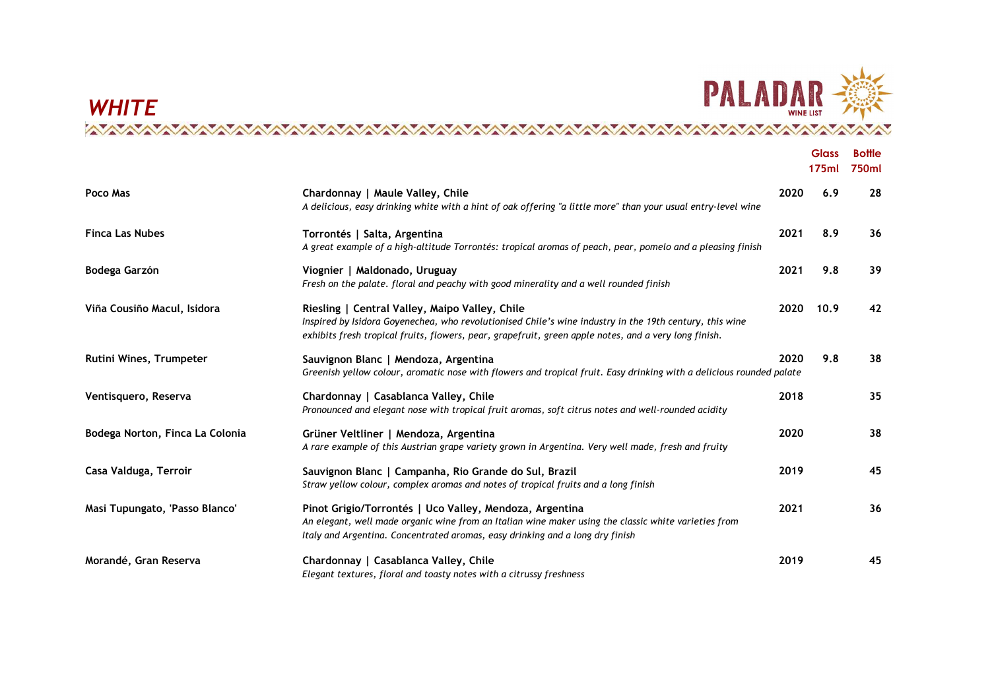

### Glass Bottle 175ml 750ml Poco Mas **Chardonnay | Maule Valley, Chile** 2020 6.9 28 28 A delicious, easy drinking white with a hint of oak offering "a little more" than your usual entry-level wine Finca Las Nubes **The Contract Contract Contract Contract Contract Contract Contract Contract Contract Contract Contract Contract Contract Contract Contract Contract Contract Contract Contract Contract Contract Contract Con** A great example of a high-altitude Torrontés: tropical aromas of peach, pear, pomelo and a pleasing finish Bodega Garzón Viognier | Maldonado, Uruguay 2021 9.8 39 Fresh on the palate. floral and peachy with good minerality and a well rounded finish Viña Cousiño Macul, Isidora **Night and State Riesling | Central Valley**, Maipo Valley, Chile 2020 10.9 42 Inspired by Isidora Goyenechea, who revolutionised Chile's wine industry in the 19th century, this wine exhibits fresh tropical fruits, flowers, pear, grapefruit, green apple notes, and a very long finish. Rutini Wines, Trumpeter **Sauvignon Blanc | Mendoza, Argentina** 2020 198 2020 9.8 38 Greenish yellow colour, aromatic nose with flowers and tropical fruit. Easy drinking with a delicious rounded palate Ventisquero, Reserva Chardonnay | Casablanca Valley, Chile 2018 35 Pronounced and elegant nose with tropical fruit aromas, soft citrus notes and well-rounded acidity Bodega Norton, Finca La Colonia Grüner Veltliner | Mendoza, Argentina 2020 38 A rare example of this Austrian grape variety grown in Argentina. Very well made, fresh and fruity Casa Valduga, Terroir **Sauvignon Blanc | Campanha, Rio Grande do** Sul, Brazil 2019 2019 2019 45 Straw yellow colour, complex aromas and notes of tropical fruits and a long finish Masi Tupungato, 'Passo Blanco' Pinot Grigio/Torrontés | Uco Valley, Mendoza, Argentina 2021 36 An elegant, well made organic wine from an Italian wine maker using the classic white varieties from Italy and Argentina. Concentrated aromas, easy drinking and a long dry finish Morandé, Gran Reserva Chardonnay | Casablanca Valley, Chile 2019 45 Elegant textures, floral and toasty notes with a citrussy freshness

**WHITE**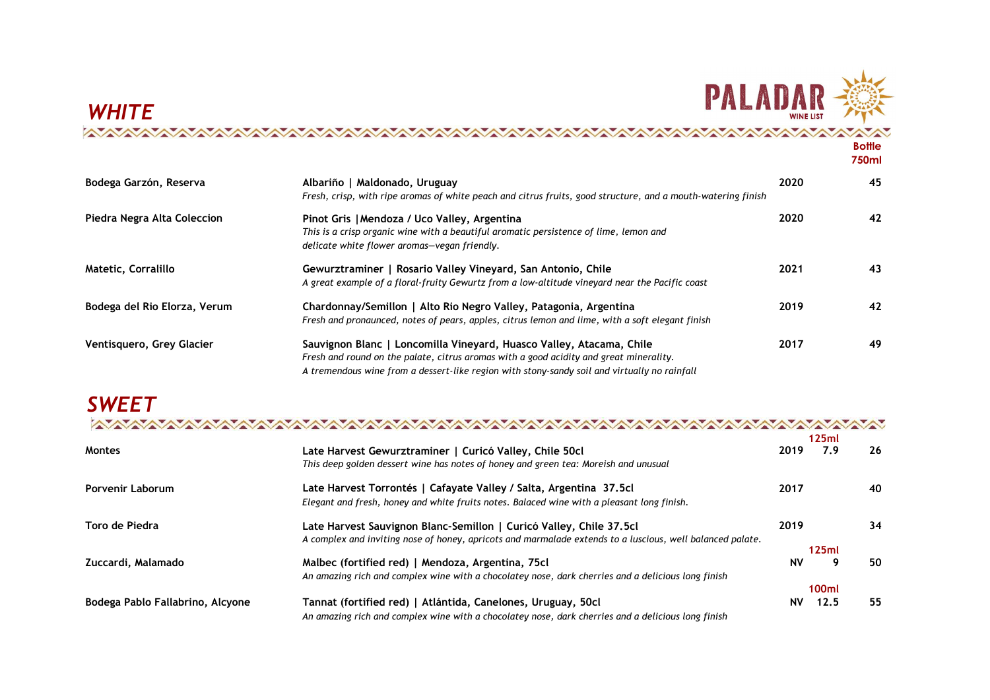

## E ALAUAN<br>Wineust Alauan Alauan Alauan Alauan Alauan Alauan Alauan Alauan Alauan Alauan Alauan Alauan Alauan Alauan Alau<br>Alauan Alauan Alauan Alauan Alauan Alauan Alauan Alauan Alauan Alauan Alauan Alauan Alauan Alauan Alau **Bottle**

|                              |                                                                                                                                                                                                                                                                |      | 750ml |
|------------------------------|----------------------------------------------------------------------------------------------------------------------------------------------------------------------------------------------------------------------------------------------------------------|------|-------|
| Bodega Garzón, Reserva       | Albariño   Maldonado, Uruguay<br>Fresh, crisp, with ripe aromas of white peach and citrus fruits, good structure, and a mouth-watering finish                                                                                                                  | 2020 | 45    |
| Piedra Negra Alta Coleccion  | Pinot Gris   Mendoza / Uco Valley, Argentina<br>This is a crisp organic wine with a beautiful aromatic persistence of lime, lemon and<br>delicate white flower aromas-vegan friendly.                                                                          | 2020 | 42    |
| Matetic, Corralillo          | Gewurztraminer   Rosario Valley Vineyard, San Antonio, Chile<br>A great example of a floral-fruity Gewurtz from a low-altitude vineyard near the Pacific coast                                                                                                 | 2021 | 43    |
| Bodega del Rio Elorza, Verum | Chardonnay/Semillon   Alto Rio Negro Valley, Patagonia, Argentina<br>Fresh and pronaunced, notes of pears, apples, citrus lemon and lime, with a soft elegant finish                                                                                           | 2019 | 42    |
| Ventisquero, Grey Glacier    | Sauvignon Blanc   Loncomilla Vineyard, Huasco Valley, Atacama, Chile<br>Fresh and round on the palate, citrus aromas with a good acidity and great minerality.<br>A tremendous wine from a dessert-like region with stony-sandy soil and virtually no rainfall | 2017 | 49    |

| <b>SWEET</b> |  |  |
|--------------|--|--|
|              |  |  |

|                                  |                                                                                                           |           | 125ml |    |
|----------------------------------|-----------------------------------------------------------------------------------------------------------|-----------|-------|----|
| <b>Montes</b>                    | Late Harvest Gewurztraminer   Curicó Valley, Chile 50cl                                                   | 2019      | 7.9   | 26 |
|                                  | This deep golden dessert wine has notes of honey and green tea: Moreish and unusual                       |           |       |    |
| <b>Porvenir Laborum</b>          | Late Harvest Torrontés   Cafayate Valley / Salta, Argentina 37.5cl                                        | 2017      |       | 40 |
|                                  | Elegant and fresh, honey and white fruits notes. Balaced wine with a pleasant long finish.                |           |       |    |
| Toro de Piedra                   | Late Harvest Sauvignon Blanc-Semillon   Curicó Valley, Chile 37.5cl                                       | 2019      |       | 34 |
|                                  | A complex and inviting nose of honey, apricots and marmalade extends to a luscious, well balanced palate. |           | 125ml |    |
| Zuccardi, Malamado               | Malbec (fortified red)   Mendoza, Argentina, 75cl                                                         | <b>NV</b> | 9     | 50 |
|                                  | An amazing rich and complex wine with a chocolatey nose, dark cherries and a delicious long finish        |           |       |    |
|                                  |                                                                                                           |           | 100ml |    |
| Bodega Pablo Fallabrino, Alcyone | Tannat (fortified red)   Atlántida, Canelones, Uruguay, 50cl                                              | <b>NV</b> | 12.5  | 55 |
|                                  | An amazing rich and complex wine with a chocolatey nose, dark cherries and a delicious long finish        |           |       |    |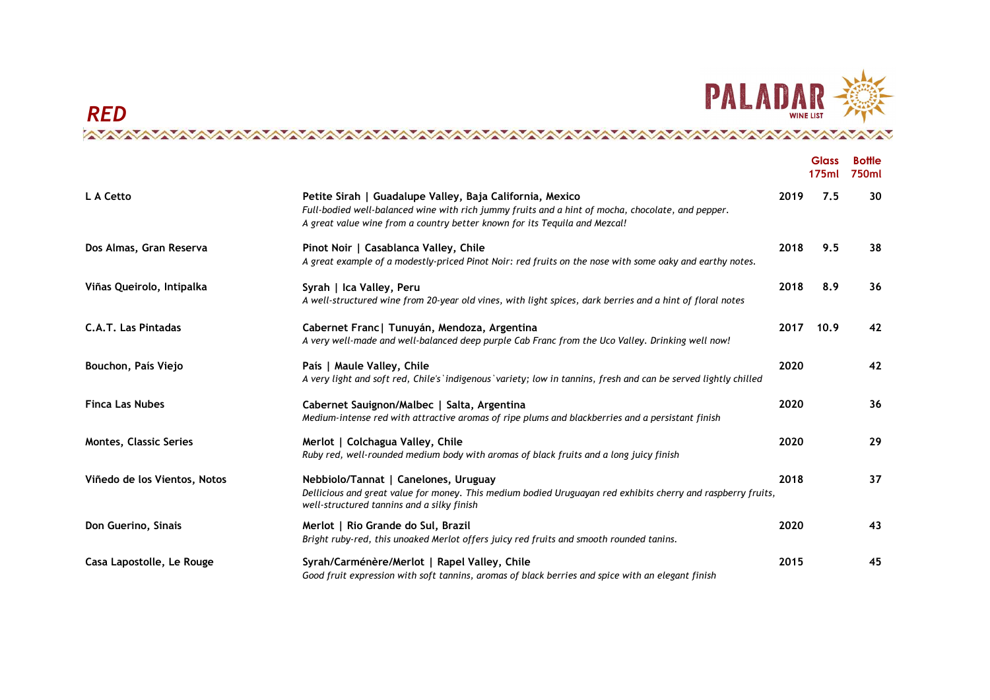

# RED<br>A the indice to the contrate to the contrate of the term of the contrate of the contrate of the contrate of th<br>A the contrate of the contrate of the contrate of the contrate of the contrate of the contrate of the contr

|                               |                                                                                                                                                                                                                                             |      | <b>Glass</b><br>175ml | <b>Bottle</b><br>750ml |
|-------------------------------|---------------------------------------------------------------------------------------------------------------------------------------------------------------------------------------------------------------------------------------------|------|-----------------------|------------------------|
| L A Cetto                     | Petite Sirah   Guadalupe Valley, Baja California, Mexico<br>Full-bodied well-balanced wine with rich jummy fruits and a hint of mocha, chocolate, and pepper.<br>A great value wine from a country better known for its Tequila and Mezcal! | 2019 | 7.5                   | 30                     |
| Dos Almas, Gran Reserva       | Pinot Noir   Casablanca Valley, Chile<br>A great example of a modestly-priced Pinot Noir: red fruits on the nose with some oaky and earthy notes.                                                                                           | 2018 | 9.5                   | 38                     |
| Viñas Queirolo, Intipalka     | Syrah   Ica Valley, Peru<br>A well-structured wine from 20-year old vines, with light spices, dark berries and a hint of floral notes                                                                                                       | 2018 | 8.9                   | 36                     |
| <b>C.A.T. Las Pintadas</b>    | Cabernet Franc   Tunuyán, Mendoza, Argentina<br>A very well-made and well-balanced deep purple Cab Franc from the Uco Valley. Drinking well now!                                                                                            | 2017 | 10.9                  | 42                     |
| Bouchon, País Viejo           | País   Maule Valley, Chile<br>A very light and soft red, Chile's indigenous variety; low in tannins, fresh and can be served lightly chilled                                                                                                | 2020 |                       | 42                     |
| <b>Finca Las Nubes</b>        | Cabernet Sauignon/Malbec   Salta, Argentina<br>Medium-intense red with attractive aromas of ripe plums and blackberries and a persistant finish                                                                                             | 2020 |                       | 36                     |
| <b>Montes, Classic Series</b> | Merlot   Colchagua Valley, Chile<br>Ruby red, well-rounded medium body with aromas of black fruits and a long juicy finish                                                                                                                  | 2020 |                       | 29                     |
| Viñedo de los Vientos, Notos  | Nebbiolo/Tannat   Canelones, Uruguay<br>Dellicious and great value for money. This medium bodied Uruguayan red exhibits cherry and raspberry fruits,<br>well-structured tannins and a silky finish                                          | 2018 |                       | 37                     |
| Don Guerino, Sinais           | Merlot   Rio Grande do Sul, Brazil<br>Bright ruby-red, this unoaked Merlot offers juicy red fruits and smooth rounded tanins.                                                                                                               | 2020 |                       | 43                     |
| Casa Lapostolle, Le Rouge     | Syrah/Carménère/Merlot   Rapel Valley, Chile<br>Good fruit expression with soft tannins, aromas of black berries and spice with an elegant finish                                                                                           | 2015 |                       | 45                     |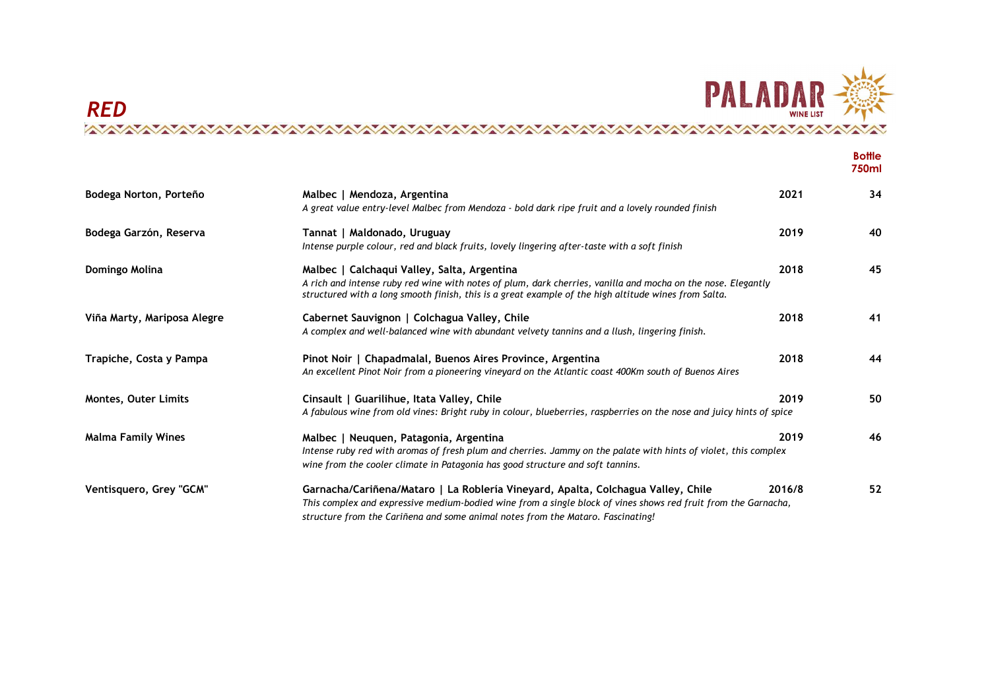

|                             |                                                                                                                                                                                                                                                                                       |        | <b>Bottle</b><br>750ml |
|-----------------------------|---------------------------------------------------------------------------------------------------------------------------------------------------------------------------------------------------------------------------------------------------------------------------------------|--------|------------------------|
| Bodega Norton, Porteño      | Malbec   Mendoza, Argentina<br>A great value entry-level Malbec from Mendoza - bold dark ripe fruit and a lovely rounded finish                                                                                                                                                       | 2021   | 34                     |
| Bodega Garzón, Reserva      | Tannat   Maldonado, Uruguay<br>Intense purple colour, red and black fruits, lovely lingering after-taste with a soft finish                                                                                                                                                           | 2019   | 40                     |
| Domingo Molina              | Malbec   Calchaqui Valley, Salta, Argentina<br>A rich and intense ruby red wine with notes of plum, dark cherries, vanilla and mocha on the nose. Elegantly<br>structured with a long smooth finish, this is a great example of the high altitude wines from Salta.                   | 2018   | 45                     |
| Viña Marty, Mariposa Alegre | Cabernet Sauvignon   Colchagua Valley, Chile<br>A complex and well-balanced wine with abundant velvety tannins and a llush, lingering finish.                                                                                                                                         | 2018   | 41                     |
| Trapiche, Costa y Pampa     | Pinot Noir   Chapadmalal, Buenos Aires Province, Argentina<br>An excellent Pinot Noir from a pioneering vineyard on the Atlantic coast 400Km south of Buenos Aires                                                                                                                    | 2018   | 44                     |
| <b>Montes, Outer Limits</b> | Cinsault   Guarilihue, Itata Valley, Chile<br>A fabulous wine from old vines: Bright ruby in colour, blueberries, raspberries on the nose and juicy hints of spice                                                                                                                    | 2019   | 50                     |
| <b>Malma Family Wines</b>   | Malbec   Neuquen, Patagonia, Argentina<br>Intense ruby red with aromas of fresh plum and cherries. Jammy on the palate with hints of violet, this complex<br>wine from the cooler climate in Patagonia has good structure and soft tannins.                                           | 2019   | 46                     |
| Ventisquero, Grey "GCM"     | Garnacha/Cariñena/Mataro   La Roblería Vineyard, Apalta, Colchagua Valley, Chile<br>This complex and expressive medium-bodied wine from a single block of vines shows red fruit from the Garnacha,<br>structure from the Cariñena and some animal notes from the Mataro. Fascinating! | 2016/8 | 52                     |